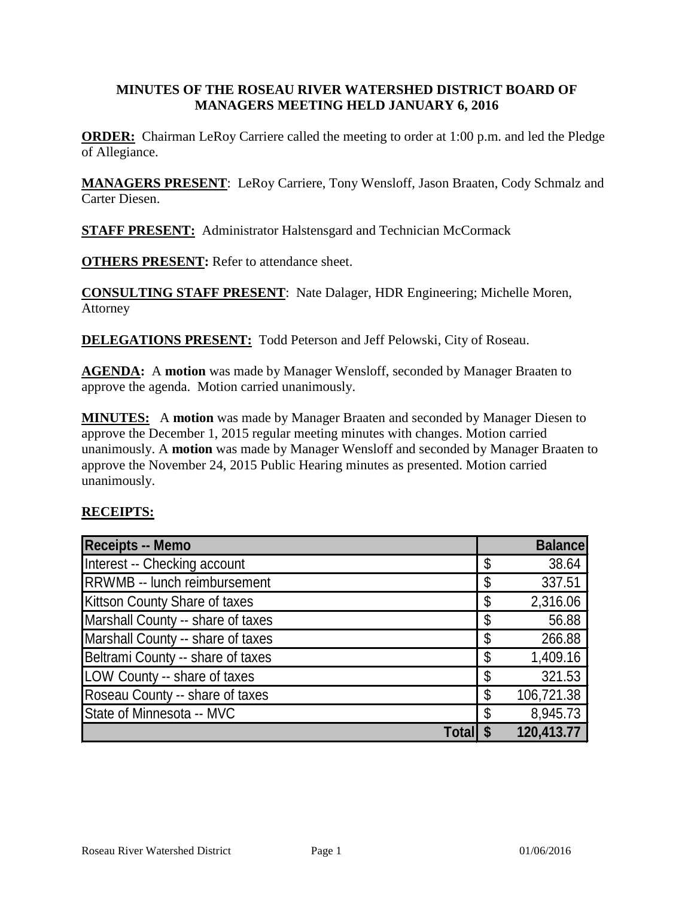# **MINUTES OF THE ROSEAU RIVER WATERSHED DISTRICT BOARD OF MANAGERS MEETING HELD JANUARY 6, 2016**

**ORDER:** Chairman LeRoy Carriere called the meeting to order at 1:00 p.m. and led the Pledge of Allegiance.

**MANAGERS PRESENT**: LeRoy Carriere, Tony Wensloff, Jason Braaten, Cody Schmalz and Carter Diesen.

**STAFF PRESENT:** Administrator Halstensgard and Technician McCormack

**OTHERS PRESENT:** Refer to attendance sheet.

**CONSULTING STAFF PRESENT**: Nate Dalager, HDR Engineering; Michelle Moren, Attorney

**DELEGATIONS PRESENT:** Todd Peterson and Jeff Pelowski, City of Roseau.

**AGENDA:** A **motion** was made by Manager Wensloff, seconded by Manager Braaten to approve the agenda. Motion carried unanimously.

**MINUTES:** A **motion** was made by Manager Braaten and seconded by Manager Diesen to approve the December 1, 2015 regular meeting minutes with changes. Motion carried unanimously. A **motion** was made by Manager Wensloff and seconded by Manager Braaten to approve the November 24, 2015 Public Hearing minutes as presented. Motion carried unanimously.

#### **RECEIPTS:**

| <b>Receipts -- Memo</b>              | <b>Balance</b>   |
|--------------------------------------|------------------|
| Interest -- Checking account         | \$<br>38.64      |
| RRWMB -- lunch reimbursement         | \$<br>337.51     |
| <b>Kittson County Share of taxes</b> | 2,316.06         |
| Marshall County -- share of taxes    | \$<br>56.88      |
| Marshall County -- share of taxes    | \$<br>266.88     |
| Beltrami County -- share of taxes    | 1,409.16         |
| LOW County -- share of taxes         | 321.53           |
| Roseau County -- share of taxes      | \$<br>106,721.38 |
| State of Minnesota -- MVC            | \$<br>8,945.73   |
| Total                                | 120,413.77       |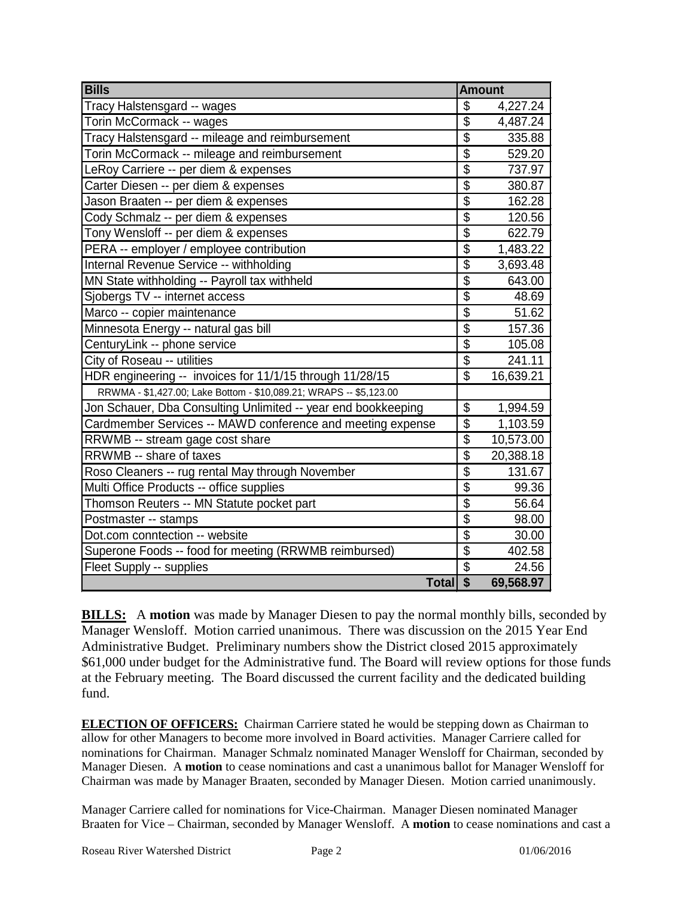| <b>Bills</b>                                                       | <b>Amount</b>            |           |
|--------------------------------------------------------------------|--------------------------|-----------|
| Tracy Halstensgard -- wages                                        | \$                       | 4,227.24  |
| Torin McCormack -- wages                                           | $\overline{\$}$          | 4,487.24  |
| Tracy Halstensgard -- mileage and reimbursement                    | $\overline{\$}$          | 335.88    |
| Torin McCormack -- mileage and reimbursement                       | $\overline{\$}$          | 529.20    |
| LeRoy Carriere -- per diem & expenses                              | $\overline{\$}$          | 737.97    |
| Carter Diesen -- per diem & expenses                               | $\overline{\$}$          | 380.87    |
| Jason Braaten -- per diem & expenses                               | $\overline{\$}$          | 162.28    |
| Cody Schmalz -- per diem & expenses                                | $\overline{\$}$          | 120.56    |
| Tony Wensloff -- per diem & expenses                               | $\overline{\$}$          | 622.79    |
| PERA -- employer / employee contribution                           | $\overline{\$}$          | 1,483.22  |
| Internal Revenue Service -- withholding                            | $\overline{\$}$          | 3,693.48  |
| MN State withholding -- Payroll tax withheld                       | $\overline{\$}$          | 643.00    |
| Sjobergs TV -- internet access                                     | $\overline{\$}$          | 48.69     |
| Marco -- copier maintenance                                        | $\overline{\$}$          | 51.62     |
| Minnesota Energy -- natural gas bill                               | \$                       | 157.36    |
| CenturyLink -- phone service                                       | $\overline{\$}$          | 105.08    |
| City of Roseau -- utilities                                        | $\overline{\$}$          | 241.11    |
| HDR engineering -- invoices for 11/1/15 through 11/28/15           | $\overline{\$}$          | 16,639.21 |
| RRWMA - \$1,427.00; Lake Bottom - \$10,089.21; WRAPS -- \$5,123.00 |                          |           |
| Jon Schauer, Dba Consulting Unlimited -- year end bookkeeping      | \$                       | 1,994.59  |
| Cardmember Services -- MAWD conference and meeting expense         | $\overline{\$}$          | 1,103.59  |
| RRWMB -- stream gage cost share                                    | $\overline{\$}$          | 10,573.00 |
| RRWMB -- share of taxes                                            | $\overline{\$}$          | 20,388.18 |
| Roso Cleaners -- rug rental May through November                   | $\overline{\$}$          | 131.67    |
| Multi Office Products -- office supplies                           | $\overline{\$}$          | 99.36     |
| Thomson Reuters -- MN Statute pocket part                          | $\overline{\$}$          | 56.64     |
| Postmaster -- stamps                                               | $\overline{\$}$          | 98.00     |
| Dot.com conntection -- website                                     | $\overline{\mathcal{S}}$ | 30.00     |
| Superone Foods -- food for meeting (RRWMB reimbursed)              | $\overline{\$}$          | 402.58    |
| Fleet Supply -- supplies                                           | $\overline{\mathbb{S}}$  | 24.56     |
| Total \$                                                           |                          | 69,568.97 |

**BILLS:** A motion was made by Manager Diesen to pay the normal monthly bills, seconded by Manager Wensloff. Motion carried unanimous. There was discussion on the 2015 Year End Administrative Budget. Preliminary numbers show the District closed 2015 approximately \$61,000 under budget for the Administrative fund. The Board will review options for those funds at the February meeting. The Board discussed the current facility and the dedicated building fund.

**ELECTION OF OFFICERS:** Chairman Carriere stated he would be stepping down as Chairman to allow for other Managers to become more involved in Board activities. Manager Carriere called for nominations for Chairman. Manager Schmalz nominated Manager Wensloff for Chairman, seconded by Manager Diesen. A **motion** to cease nominations and cast a unanimous ballot for Manager Wensloff for Chairman was made by Manager Braaten, seconded by Manager Diesen. Motion carried unanimously.

Manager Carriere called for nominations for Vice-Chairman. Manager Diesen nominated Manager Braaten for Vice – Chairman, seconded by Manager Wensloff. A **motion** to cease nominations and cast a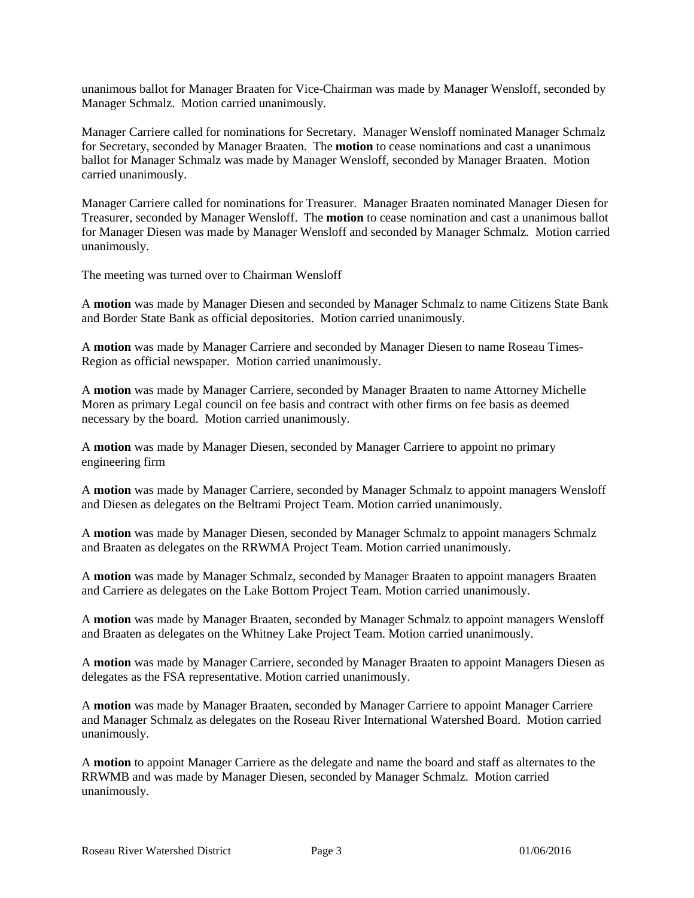unanimous ballot for Manager Braaten for Vice-Chairman was made by Manager Wensloff, seconded by Manager Schmalz. Motion carried unanimously.

Manager Carriere called for nominations for Secretary. Manager Wensloff nominated Manager Schmalz for Secretary, seconded by Manager Braaten. The **motion** to cease nominations and cast a unanimous ballot for Manager Schmalz was made by Manager Wensloff, seconded by Manager Braaten. Motion carried unanimously.

Manager Carriere called for nominations for Treasurer. Manager Braaten nominated Manager Diesen for Treasurer, seconded by Manager Wensloff. The **motion** to cease nomination and cast a unanimous ballot for Manager Diesen was made by Manager Wensloff and seconded by Manager Schmalz. Motion carried unanimously.

The meeting was turned over to Chairman Wensloff

A **motion** was made by Manager Diesen and seconded by Manager Schmalz to name Citizens State Bank and Border State Bank as official depositories. Motion carried unanimously.

A **motion** was made by Manager Carriere and seconded by Manager Diesen to name Roseau Times-Region as official newspaper. Motion carried unanimously.

A **motion** was made by Manager Carriere, seconded by Manager Braaten to name Attorney Michelle Moren as primary Legal council on fee basis and contract with other firms on fee basis as deemed necessary by the board. Motion carried unanimously.

A **motion** was made by Manager Diesen, seconded by Manager Carriere to appoint no primary engineering firm

A **motion** was made by Manager Carriere, seconded by Manager Schmalz to appoint managers Wensloff and Diesen as delegates on the Beltrami Project Team. Motion carried unanimously.

A **motion** was made by Manager Diesen, seconded by Manager Schmalz to appoint managers Schmalz and Braaten as delegates on the RRWMA Project Team. Motion carried unanimously.

A **motion** was made by Manager Schmalz, seconded by Manager Braaten to appoint managers Braaten and Carriere as delegates on the Lake Bottom Project Team. Motion carried unanimously.

A **motion** was made by Manager Braaten, seconded by Manager Schmalz to appoint managers Wensloff and Braaten as delegates on the Whitney Lake Project Team. Motion carried unanimously.

A **motion** was made by Manager Carriere, seconded by Manager Braaten to appoint Managers Diesen as delegates as the FSA representative. Motion carried unanimously.

A **motion** was made by Manager Braaten, seconded by Manager Carriere to appoint Manager Carriere and Manager Schmalz as delegates on the Roseau River International Watershed Board. Motion carried unanimously.

A **motion** to appoint Manager Carriere as the delegate and name the board and staff as alternates to the RRWMB and was made by Manager Diesen, seconded by Manager Schmalz. Motion carried unanimously.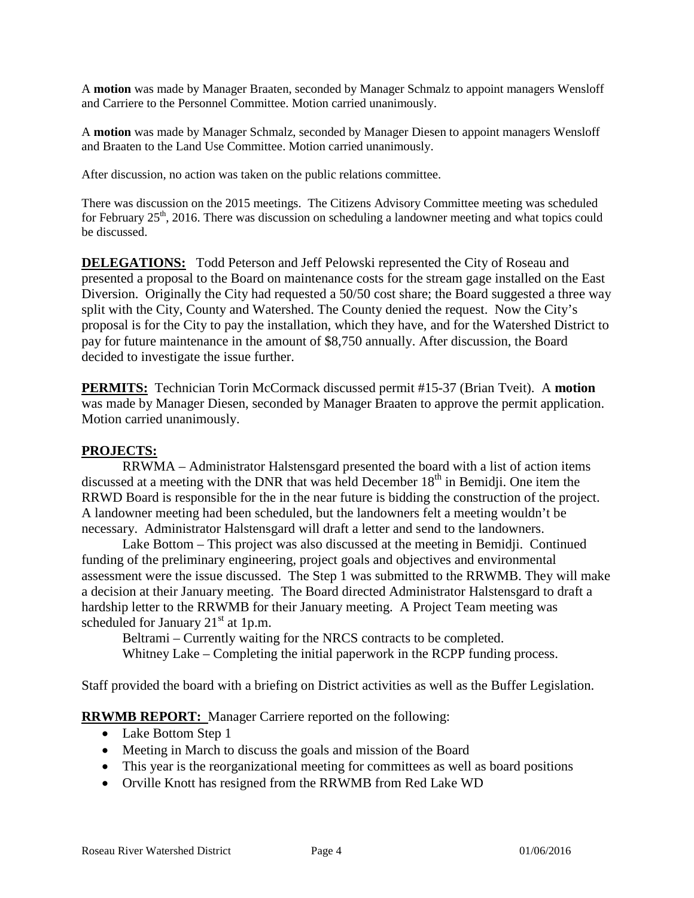A **motion** was made by Manager Braaten, seconded by Manager Schmalz to appoint managers Wensloff and Carriere to the Personnel Committee. Motion carried unanimously.

A **motion** was made by Manager Schmalz, seconded by Manager Diesen to appoint managers Wensloff and Braaten to the Land Use Committee. Motion carried unanimously.

After discussion, no action was taken on the public relations committee.

There was discussion on the 2015 meetings. The Citizens Advisory Committee meeting was scheduled for February  $25<sup>th</sup>$ , 2016. There was discussion on scheduling a landowner meeting and what topics could be discussed.

**DELEGATIONS:** Todd Peterson and Jeff Pelowski represented the City of Roseau and presented a proposal to the Board on maintenance costs for the stream gage installed on the East Diversion. Originally the City had requested a 50/50 cost share; the Board suggested a three way split with the City, County and Watershed. The County denied the request. Now the City's proposal is for the City to pay the installation, which they have, and for the Watershed District to pay for future maintenance in the amount of \$8,750 annually. After discussion, the Board decided to investigate the issue further.

**PERMITS:** Technician Torin McCormack discussed permit #15-37 (Brian Tveit). A **motion**  was made by Manager Diesen, seconded by Manager Braaten to approve the permit application. Motion carried unanimously.

#### **PROJECTS:**

RRWMA – Administrator Halstensgard presented the board with a list of action items discussed at a meeting with the DNR that was held December  $18<sup>th</sup>$  in Bemidji. One item the RRWD Board is responsible for the in the near future is bidding the construction of the project. A landowner meeting had been scheduled, but the landowners felt a meeting wouldn't be necessary. Administrator Halstensgard will draft a letter and send to the landowners.

Lake Bottom – This project was also discussed at the meeting in Bemidji. Continued funding of the preliminary engineering, project goals and objectives and environmental assessment were the issue discussed. The Step 1 was submitted to the RRWMB. They will make a decision at their January meeting. The Board directed Administrator Halstensgard to draft a hardship letter to the RRWMB for their January meeting. A Project Team meeting was scheduled for January  $21<sup>st</sup>$  at 1p.m.

Beltrami – Currently waiting for the NRCS contracts to be completed. Whitney Lake – Completing the initial paperwork in the RCPP funding process.

Staff provided the board with a briefing on District activities as well as the Buffer Legislation.

**RRWMB REPORT:** Manager Carriere reported on the following:

- Lake Bottom Step 1
- Meeting in March to discuss the goals and mission of the Board
- This year is the reorganizational meeting for committees as well as board positions
- Orville Knott has resigned from the RRWMB from Red Lake WD